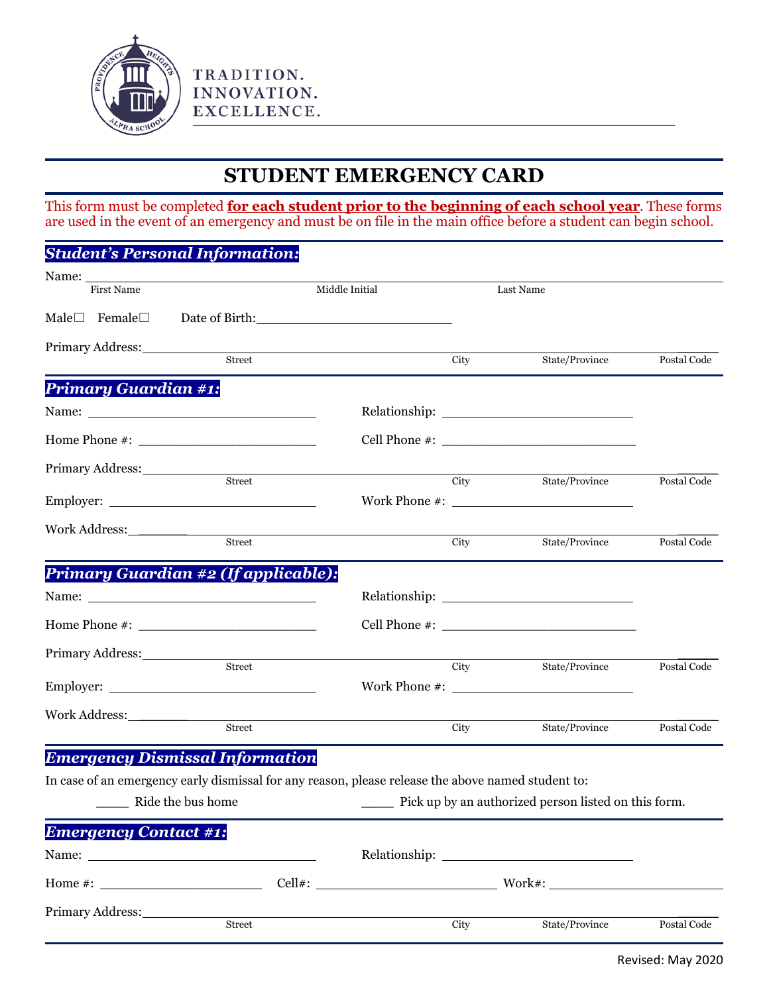

## **STUDENT EMERGENCY CARD**

This form must be completed **for each student prior to the beginning of each school year**. These forms are used in the event of an emergency and must be on file in the main office before a student can begin school.

## *Student's Personal Information:*

TRADITION. INNOVATION. EXCELLENCE.

|                             | Name: First Name<br>Middle Initial                                                                                                                                                                                            |               | Last Name |                |             |
|-----------------------------|-------------------------------------------------------------------------------------------------------------------------------------------------------------------------------------------------------------------------------|---------------|-----------|----------------|-------------|
|                             | Male□ Female□ Date of Birth: 1990 Date of Birth: 1990 Date of Birth: 1990 Date of Birth: 1990 Date of Birth: 1990 Date of Birth: 1990 Date of Birth: 1990 Date of Birth: 1990 Date of Birth: 1990 Date of Birth: 1990 Date of |               |           |                |             |
| Primary Address:            |                                                                                                                                                                                                                               |               |           |                |             |
|                             |                                                                                                                                                                                                                               | <b>Street</b> | City      | State/Province | Postal Code |
| <b>Primary Guardian #1:</b> |                                                                                                                                                                                                                               |               |           |                |             |
|                             |                                                                                                                                                                                                                               |               |           |                |             |
|                             |                                                                                                                                                                                                                               |               |           |                |             |
| Primary Address:            |                                                                                                                                                                                                                               |               |           |                |             |
|                             | Street                                                                                                                                                                                                                        |               | City      | State/Province | Postal Code |
|                             |                                                                                                                                                                                                                               |               |           |                |             |
|                             | <b>Street</b>                                                                                                                                                                                                                 |               | City      | State/Province | Postal Code |
|                             | Primary Guardian #2 (If applicable):                                                                                                                                                                                          |               |           |                |             |
|                             |                                                                                                                                                                                                                               |               |           |                |             |
|                             |                                                                                                                                                                                                                               |               |           |                |             |
| Primary Address:            | <u> 1989 - Jan Barbara Barbara, prima politik po</u>                                                                                                                                                                          |               |           |                |             |
|                             | <b>Street</b>                                                                                                                                                                                                                 |               | City      | State/Province | Postal Code |
|                             |                                                                                                                                                                                                                               |               |           |                |             |
|                             |                                                                                                                                                                                                                               |               |           |                |             |
|                             | Street                                                                                                                                                                                                                        |               | City      | State/Province | Postal Code |
|                             | <b>Emergency Dismissal Information</b>                                                                                                                                                                                        |               |           |                |             |
|                             | In case of an emergency early dismissal for any reason, please release the above named student to:                                                                                                                            |               |           |                |             |

In case of an emergency early dismissal for any reason, please release the above named student to:

The Ride the bus home The Pick up by an authorized person listed on this form.

| <b>Emergency Contact #1:</b>                                                                                                                                                                                                                                                                          |               |      |                |             |
|-------------------------------------------------------------------------------------------------------------------------------------------------------------------------------------------------------------------------------------------------------------------------------------------------------|---------------|------|----------------|-------------|
|                                                                                                                                                                                                                                                                                                       |               |      |                |             |
| Home #: $\frac{1}{2}$ = $\frac{1}{2}$ = $\frac{1}{2}$ = $\frac{1}{2}$ = $\frac{1}{2}$ = $\frac{1}{2}$ = $\frac{1}{2}$ = $\frac{1}{2}$ = $\frac{1}{2}$ = $\frac{1}{2}$ = $\frac{1}{2}$ = $\frac{1}{2}$ = $\frac{1}{2}$ = $\frac{1}{2}$ = $\frac{1}{2}$ = $\frac{1}{2}$ = $\frac{1}{2}$ = $\frac{1}{2}$ | $Cell$ $\#$ : |      | $Work\#$ :     |             |
| Primary Address: No. 1996. The Manual Address:<br><b>Street</b>                                                                                                                                                                                                                                       |               | City | State/Province | Postal Code |